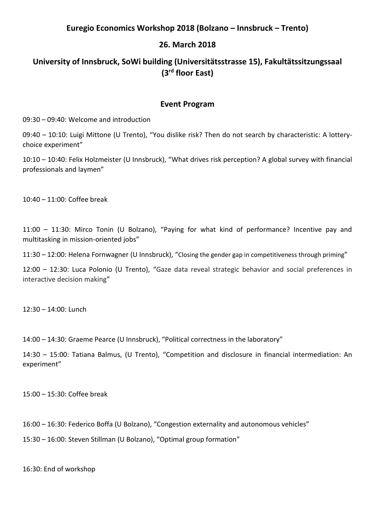### **Euregio Economics Workshop 2018 (Bolzano – Innsbruck – Trento)**

## **26. March 2018**

# **University of Innsbruck, SoWi building (Universitätsstrasse 15), Fakultätssitzungssaal (3rd floor East)**

#### **Event Program**

09:30 – 09:40: Welcome and introduction

09:40 – 10:10: Luigi Mittone (U Trento), "You dislike risk? Then do not search by characteristic: A lotterychoice experiment"

10:10 – 10:40: Felix Holzmeister (U Innsbruck), "What drives risk perception? A global survey with financial professionals and laymen"

10:40 – 11:00: Coffee break

11:00 – 11:30: Mirco Tonin (U Bolzano), "Paying for what kind of performance? Incentive pay and multitasking in mission-oriented jobs"

11:30 – 12:00: Helena Fornwagner (U Innsbruck), "Closing the gender gap in competitiveness through priming"

12:00 – 12:30: Luca Polonio (U Trento), "Gaze data reveal strategic behavior and social preferences in interactive decision making"

12:30 – 14:00: Lunch

14:00 – 14:30: Graeme Pearce (U Innsbruck), "Political correctness in the laboratory"

14:30 – 15:00: Tatiana Balmus, (U Trento), "Competition and disclosure in financial intermediation: An experiment"

15:00 – 15:30: Coffee break

16:00 – 16:30: Federico Boffa (U Bolzano), "Congestion externality and autonomous vehicles"

15:30 – 16:00: Steven Stillman (U Bolzano), "Optimal group formation"

16:30: End of workshop